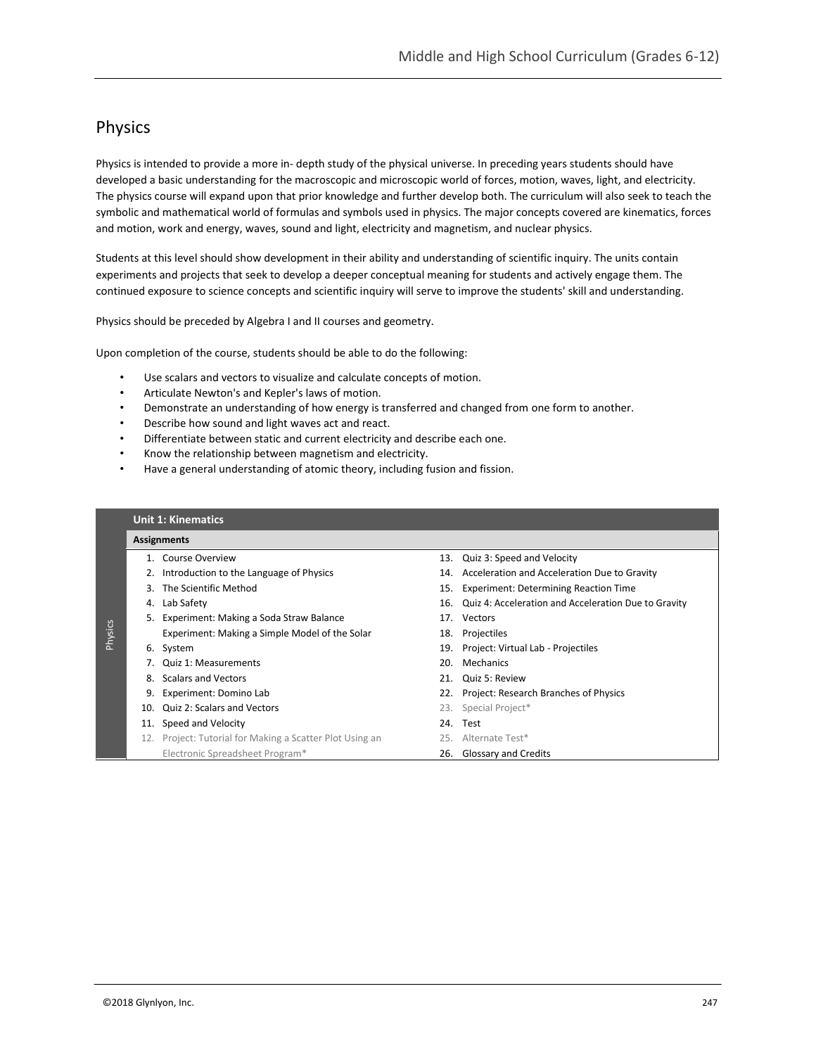## Physics

Physics is intended to provide a more in- depth study of the physical universe. In preceding years students should have developed a basic understanding for the macroscopic and microscopic world of forces, motion, waves, light, and electricity. The physics course will expand upon that prior knowledge and further develop both. The curriculum will also seek to teach the symbolic and mathematical world of formulas and symbols used in physics. The major concepts covered are kinematics, forces and motion, work and energy, waves, sound and light, electricity and magnetism, and nuclear physics.

Students at this level should show development in their ability and understanding of scientific inquiry. The units contain experiments and projects that seek to develop a deeper conceptual meaning for students and actively engage them. The continued exposure to science concepts and scientific inquiry will serve to improve the students' skill and understanding.

Physics should be preceded by Algebra I and II courses and geometry.

Upon completion of the course, students should be able to do the following:

- Use scalars and vectors to visualize and calculate concepts of motion.
- Articulate Newton's and Kepler's laws of motion.
- Demonstrate an understanding of how energy is transferred and changed from one form to another.
- Describe how sound and light waves act and react.
- Differentiate between static and current electricity and describe each one.
- Know the relationship between magnetism and electricity.
- Have a general understanding of atomic theory, including fusion and fission.

## Physics **Unit 1: Kinematics Assignments** 1. Course Overview 13. Quiz 3: Speed and Velocity 2. Introduction to the Language of Physics 14. Acceleration and Acceleration Due to Gravity 3. The Scientific Method 15. Experiment: Determining Reaction Time 4. Lab Safety 16. Quiz 4: Acceleration and Acceleration Due to Gravity 5. Experiment: Making a Soda Straw Balance 17. Vectors Experiment: Making a Simple Model of the Solar 18. Projectiles 6. System 19. Project: Virtual Lab - Projectiles 7. Quiz 1: Measurements 20. Mechanics 8. Scalars and Vectors 21. Quiz 5: Review 9. Experiment: Domino Lab 22. Project: Research Branches of Physics 10. Quiz 2: Scalars and Vectors 23. Special Project\* 11. Speed and Velocity 24. Test 12. Project: Tutorial for Making a Scatter Plot Using an 25. Alternate Test\* Electronic Spreadsheet Program\* 26. Glossary and Credits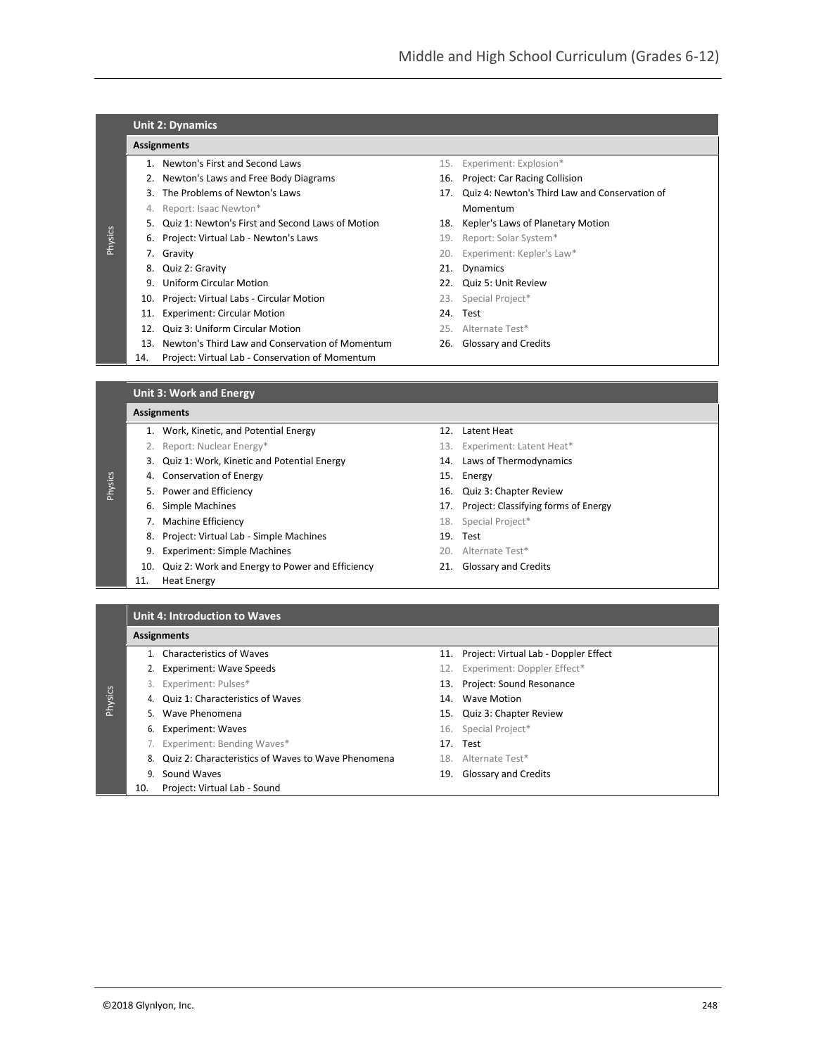## **Unit 2: Dynamics**

### **Assignments**

- 1. Newton's First and Second Laws 15. Experiment: Explosion\*
- 2. Newton's Laws and Free Body Diagrams 16. Project: Car Racing Collision
- 
- 4. Report: Isaac Newton\* Momentum and American Momentum and Momentum
- 5. Quiz 1: Newton's First and Second Laws of Motion 18. Kepler's Laws of Planetary Motion
- 6. Project: Virtual Lab Newton's Laws 19. Report: Solar System\*
- 

Physics

Physics

Physics

- 8. Quiz 2: Gravity **21.** Oynamics
- 9. Uniform Circular Motion 22. Quiz 5: Unit Review
- 10. Project: Virtual Labs Circular Motion 23. Special Project\*
- 11. Experiment: Circular Motion 24. Test
- 12. Quiz 3: Uniform Circular Motion 25. Alternate Test\*
- 13. Newton's Third Law and Conservation of Momentum 26. Glossary and Credits
- 14. Project: Virtual Lab Conservation of Momentum
- 
- 3. The Problems of Newton's Laws 17. Quiz 4: Newton's Third Law and Conservation of
	-
	-
- **7. Gravity 7. Gravity 20. Experiment: Kepler's Law\*** 
	-
	-
	-
	-
	-
	-

**Unit 3: Work and Energy**

#### **Assignments**

- 1. Work, Kinetic, and Potential Energy 12. Latent Heat
- 2. Report: Nuclear Energy\* The Communication of the Communication of the Communication of the Communication of the Communication of the Communication of the Communication of the Communication of the Communication of the Co
- 3. Quiz 1: Work, Kinetic and Potential Energy 14. Laws of Thermodynamics
- 4. Conservation of Energy 15. Energy
- 5. Power and Efficiency 16. Quiz 3: Chapter Review
- 
- 7. Machine Efficiency **18. Special Project**\*
- 8. Project: Virtual Lab Simple Machines 19. Test
- 9. Experiment: Simple Machines 20. Alternate Test\*
- 10. Quiz 2: Work and Energy to Power and Efficiency 21. Glossary and Credits
- 11. Heat Energy
- -
	-
- -
- 6. Simple Machines 17. Project: Classifying forms of Energy
	-
	-
	-
	-

**Unit 4: Introduction to Waves**

#### **Assignments**

- 
- 
- - 4. Quiz 1: Characteristics of Waves 14. Wave Motion
	-
	- 6. Experiment: Waves and the set of the set of the Special Project\*
	- 7. Experiment: Bending Waves\* 17. Test
	- 8. Quiz 2: Characteristics of Waves to Wave Phenomena 18. Alternate Test\*
	-
	- 10. Project: Virtual Lab Sound
- 1. Characteristics of Waves 11. Project: Virtual Lab Doppler Effect
- 2. Experiment: Wave Speeds 12. Experiment: Doppler Effect\*
- 3. Experiment: Pulses\* 13. Project: Sound Resonance
	-
- 5. Wave Phenomena 15. Quiz 3: Chapter Review
	-
	-
	-
- 9. Sound Waves 19. Glossary and Credits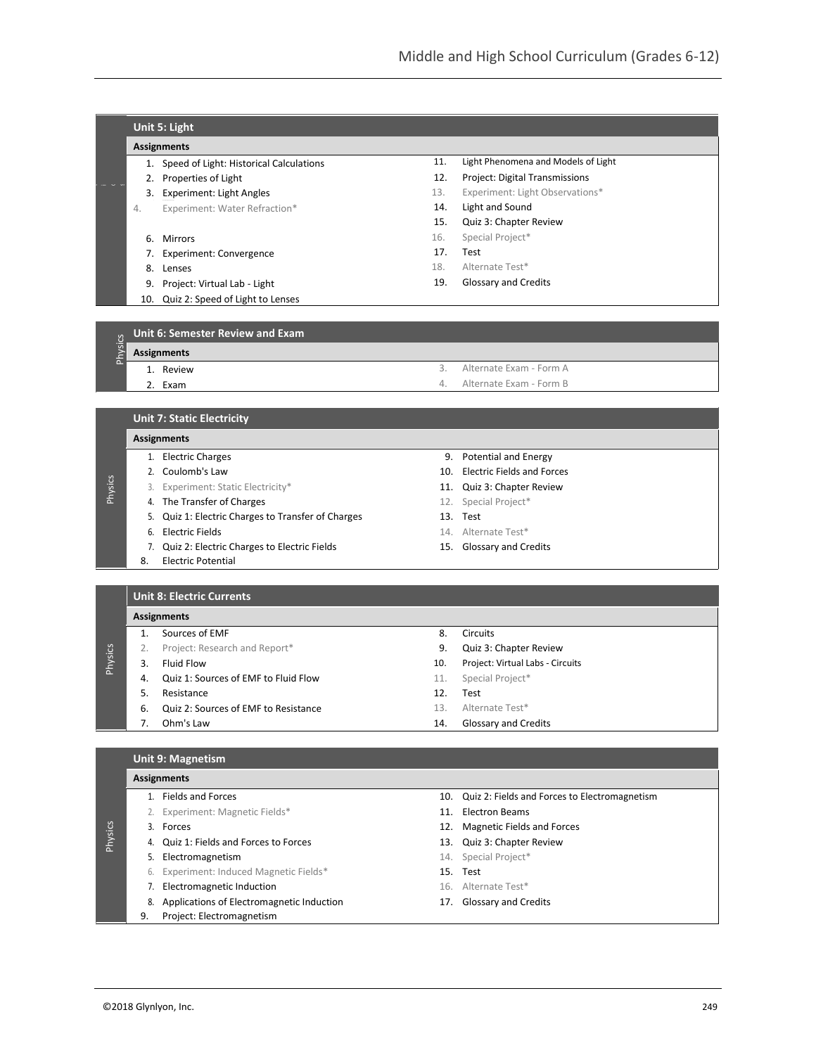|                          |                    | Unit 5: Light                           |     |                                     |  |  |
|--------------------------|--------------------|-----------------------------------------|-----|-------------------------------------|--|--|
|                          |                    | <b>Assignments</b>                      |     |                                     |  |  |
|                          |                    | Speed of Light: Historical Calculations | 11. | Light Phenomena and Models of Light |  |  |
|                          |                    | Properties of Light                     | 12. | Project: Digital Transmissions      |  |  |
| $\overline{\phantom{a}}$ | 3.                 | Experiment: Light Angles                | 13. | Experiment: Light Observations*     |  |  |
|                          | 4.                 | Experiment: Water Refraction*           | 14. | Light and Sound                     |  |  |
|                          |                    |                                         | 15. | Quiz 3: Chapter Review              |  |  |
|                          | 6.                 | <b>Mirrors</b>                          | 16. | Special Project*                    |  |  |
|                          |                    | Experiment: Convergence                 | 17. | Test                                |  |  |
|                          | 8.                 | Lenses                                  | 18. | Alternate Test*                     |  |  |
|                          | 9.                 | Project: Virtual Lab - Light            | 19. | Glossary and Credits                |  |  |
|                          | 10.                | Quiz 2: Speed of Light to Lenses        |     |                                     |  |  |
|                          |                    |                                         |     |                                     |  |  |
|                          |                    | Unit 6: Semester Review and Exam        |     |                                     |  |  |
| Physics                  | <b>Assignments</b> |                                         |     |                                     |  |  |

#### **Assignments**

s

| <b>Assignments</b> |           |  |                            |  |  |
|--------------------|-----------|--|----------------------------|--|--|
|                    | 1. Review |  | Alternate Exam - Form A    |  |  |
|                    | 2. Exam   |  | 4. Alternate Exam - Form B |  |  |
|                    |           |  |                            |  |  |

|         |                    | <b>Unit 7: Static Electricity</b>               |  |                                |  |  |
|---------|--------------------|-------------------------------------------------|--|--------------------------------|--|--|
|         | <b>Assignments</b> |                                                 |  |                                |  |  |
|         |                    | <b>Electric Charges</b>                         |  | 9. Potential and Energy        |  |  |
|         |                    | 2. Coulomb's Law                                |  | 10. Electric Fields and Forces |  |  |
| Physics | 3.                 | Experiment: Static Electricity*                 |  | 11. Quiz 3: Chapter Review     |  |  |
|         |                    | 4. The Transfer of Charges                      |  | 12. Special Project*           |  |  |
|         | 5.                 | Quiz 1: Electric Charges to Transfer of Charges |  | 13. Test                       |  |  |
|         | 6.                 | Electric Fields                                 |  | 14. Alternate Test*            |  |  |
|         |                    | Quiz 2: Electric Charges to Electric Fields     |  | 15. Glossary and Credits       |  |  |
|         | 8.                 | <b>Electric Potential</b>                       |  |                                |  |  |

| <b>Unit 8: Electric Currents</b> |  |
|----------------------------------|--|
|                                  |  |

|         |    | <b>Assignments</b>                   |     |                                  |  |  |  |
|---------|----|--------------------------------------|-----|----------------------------------|--|--|--|
|         |    | Sources of EMF                       | 8.  | <b>Circuits</b>                  |  |  |  |
|         |    | Project: Research and Report*        | 9.  | Quiz 3: Chapter Review           |  |  |  |
| Physics | 3  | Fluid Flow                           | 10. | Project: Virtual Labs - Circuits |  |  |  |
|         | 4. | Quiz 1: Sources of EMF to Fluid Flow | 11. | Special Project*                 |  |  |  |
|         |    | Resistance                           | 12. | Test                             |  |  |  |
|         | 6. | Quiz 2: Sources of EMF to Resistance | 13. | Alternate Test*                  |  |  |  |
|         |    | Ohm's Law                            | 14. | <b>Glossary and Credits</b>      |  |  |  |

## **Unit 9: Magnetism**

# **Assignments**

- 
- 

Physics

- 4. Quiz 1: Fields and Forces to Forces 13. Quiz 3: Chapter Review
- 5. Electromagnetism example and the set of the set of the Special Project\*
- 6. Experiment: Induced Magnetic Fields\* 15. Test
- 7. Electromagnetic Induction 16. Alternate Test\*
- 8. Applications of Electromagnetic Induction 17. Glossary and Credits
- 9. Project: Electromagnetism
- 1. Fields and Forces 10. Cuiz 2: Fields and Forces to Electromagnetism
- 2. Experiment: Magnetic Fields\* 11. Electron Beams
- 3. Forces 12. Magnetic Fields and Forces
	-
	-
	-
	-
	-